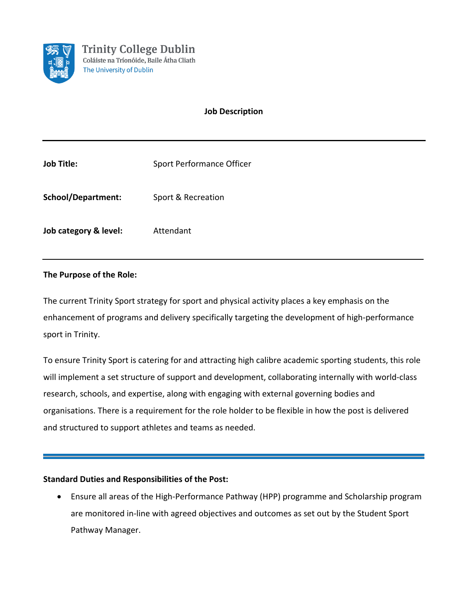

# **Job Description**

| <b>Job Title:</b>     | Sport Performance Officer |
|-----------------------|---------------------------|
| School/Department:    | Sport & Recreation        |
| Job category & level: | Attendant                 |

# **The Purpose of the Role:**

The current Trinity Sport strategy for sport and physical activity places a key emphasis on the enhancement of programs and delivery specifically targeting the development of high-performance sport in Trinity.

To ensure Trinity Sport is catering for and attracting high calibre academic sporting students, this role will implement a set structure of support and development, collaborating internally with world-class research, schools, and expertise, along with engaging with external governing bodies and organisations. There is a requirement for the role holder to be flexible in how the post is delivered and structured to support athletes and teams as needed.

### **Standard Duties and Responsibilities of the Post:**

• Ensure all areas of the High-Performance Pathway (HPP) programme and Scholarship program are monitored in-line with agreed objectives and outcomes as set out by the Student Sport Pathway Manager.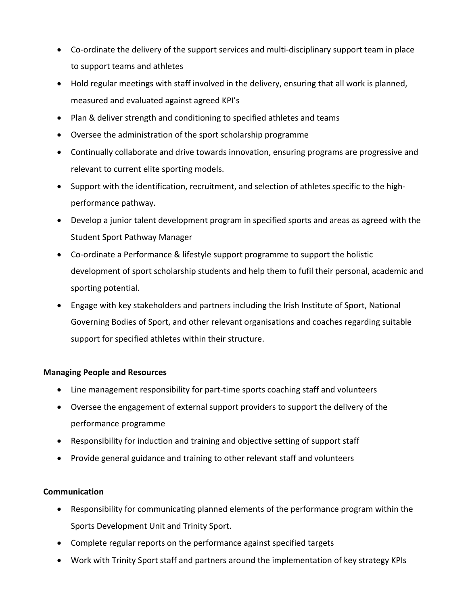- Co-ordinate the delivery of the support services and multi-disciplinary support team in place to support teams and athletes
- Hold regular meetings with staff involved in the delivery, ensuring that all work is planned, measured and evaluated against agreed KPI's
- Plan & deliver strength and conditioning to specified athletes and teams
- Oversee the administration of the sport scholarship programme
- Continually collaborate and drive towards innovation, ensuring programs are progressive and relevant to current elite sporting models.
- Support with the identification, recruitment, and selection of athletes specific to the highperformance pathway.
- Develop a junior talent development program in specified sports and areas as agreed with the Student Sport Pathway Manager
- Co-ordinate a Performance & lifestyle support programme to support the holistic development of sport scholarship students and help them to fufil their personal, academic and sporting potential.
- Engage with key stakeholders and partners including the Irish Institute of Sport, National Governing Bodies of Sport, and other relevant organisations and coaches regarding suitable support for specified athletes within their structure.

### **Managing People and Resources**

- Line management responsibility for part-time sports coaching staff and volunteers
- Oversee the engagement of external support providers to support the delivery of the performance programme
- Responsibility for induction and training and objective setting of support staff
- Provide general guidance and training to other relevant staff and volunteers

### **Communication**

- Responsibility for communicating planned elements of the performance program within the Sports Development Unit and Trinity Sport.
- Complete regular reports on the performance against specified targets
- Work with Trinity Sport staff and partners around the implementation of key strategy KPIs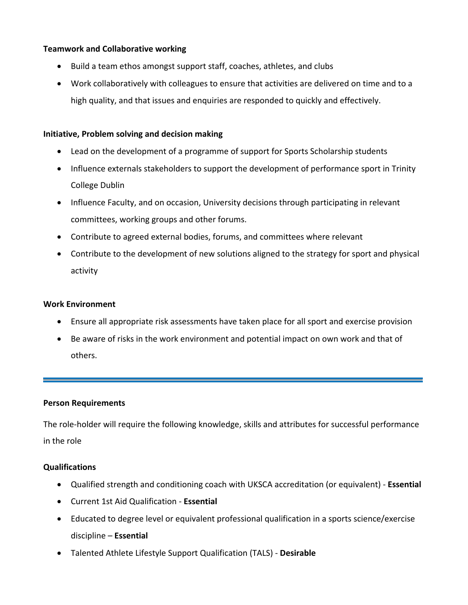## **Teamwork and Collaborative working**

- Build a team ethos amongst support staff, coaches, athletes, and clubs
- Work collaboratively with colleagues to ensure that activities are delivered on time and to a high quality, and that issues and enquiries are responded to quickly and effectively.

### **Initiative, Problem solving and decision making**

- Lead on the development of a programme of support for Sports Scholarship students
- Influence externals stakeholders to support the development of performance sport in Trinity College Dublin
- Influence Faculty, and on occasion, University decisions through participating in relevant committees, working groups and other forums.
- Contribute to agreed external bodies, forums, and committees where relevant
- Contribute to the development of new solutions aligned to the strategy for sport and physical activity

### **Work Environment**

- Ensure all appropriate risk assessments have taken place for all sport and exercise provision
- Be aware of risks in the work environment and potential impact on own work and that of others.

### **Person Requirements**

The role-holder will require the following knowledge, skills and attributes for successful performance in the role

### **Qualifications**

- Qualified strength and conditioning coach with UKSCA accreditation (or equivalent) **Essential**
- Current 1st Aid Qualification **Essential**
- Educated to degree level or equivalent professional qualification in a sports science/exercise discipline – **Essential**
- Talented Athlete Lifestyle Support Qualification (TALS) **Desirable**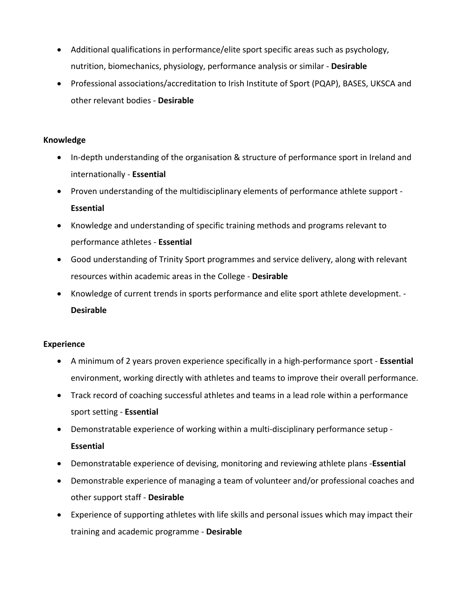- Additional qualifications in performance/elite sport specific areas such as psychology, nutrition, biomechanics, physiology, performance analysis or similar - **Desirable**
- Professional associations/accreditation to Irish Institute of Sport (PQAP), BASES, UKSCA and other relevant bodies - **Desirable**

#### **Knowledge**

- In-depth understanding of the organisation & structure of performance sport in Ireland and internationally - **Essential**
- Proven understanding of the multidisciplinary elements of performance athlete support **Essential**
- Knowledge and understanding of specific training methods and programs relevant to performance athletes - **Essential**
- Good understanding of Trinity Sport programmes and service delivery, along with relevant resources within academic areas in the College - **Desirable**
- Knowledge of current trends in sports performance and elite sport athlete development. **Desirable**

#### **Experience**

- A minimum of 2 years proven experience specifically in a high-performance sport **Essential** environment, working directly with athletes and teams to improve their overall performance.
- Track record of coaching successful athletes and teams in a lead role within a performance sport setting - **Essential**
- Demonstratable experience of working within a multi-disciplinary performance setup **Essential**
- Demonstratable experience of devising, monitoring and reviewing athlete plans -**Essential**
- Demonstrable experience of managing a team of volunteer and/or professional coaches and other support staff - **Desirable**
- Experience of supporting athletes with life skills and personal issues which may impact their training and academic programme - **Desirable**